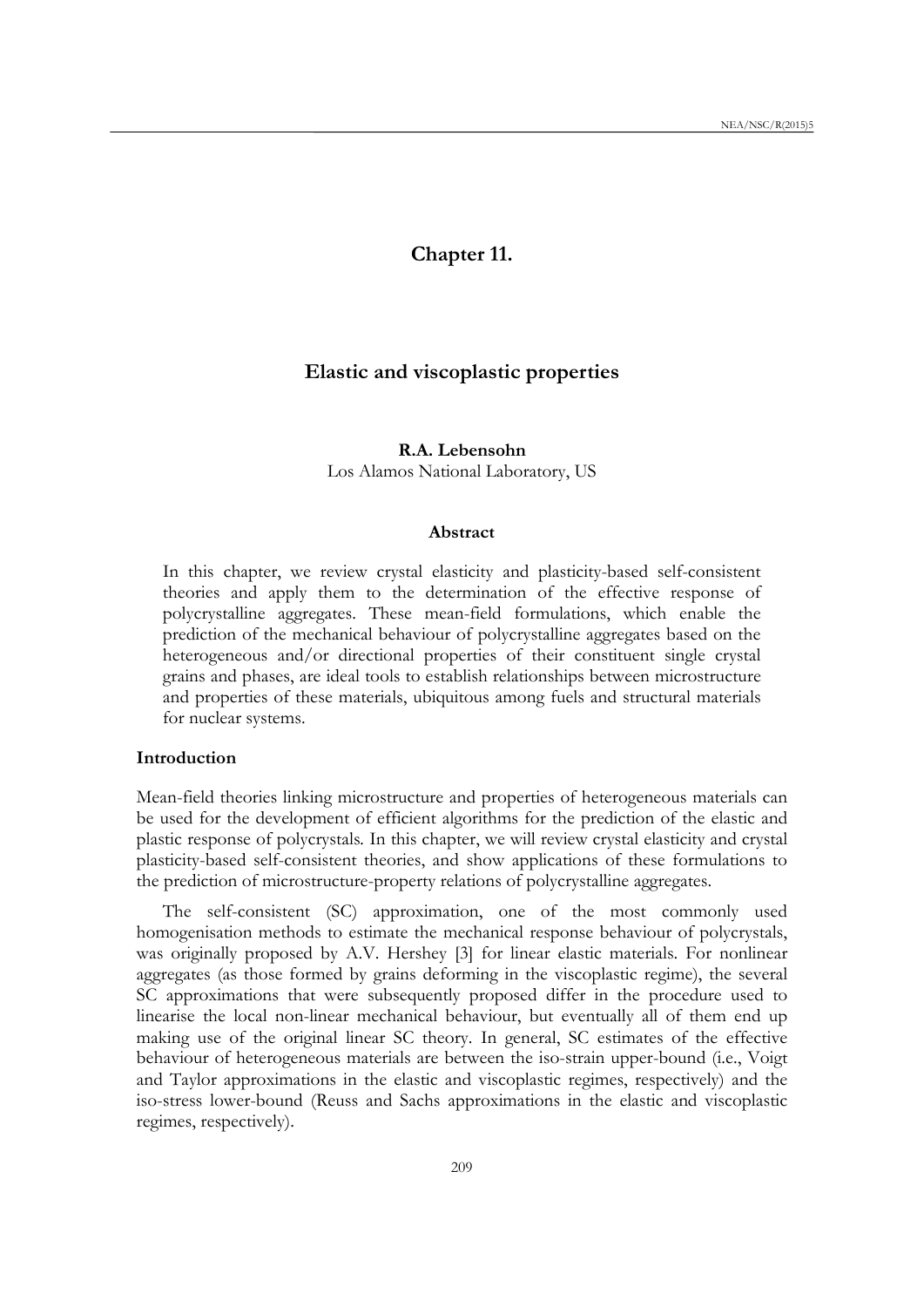# **Chapter 11.**

# **Elastic and viscoplastic properties**

# **R.A. Lebensohn**

Los Alamos National Laboratory, US

#### **Abstract**

In this chapter, we review crystal elasticity and plasticity-based self-consistent theories and apply them to the determination of the effective response of polycrystalline aggregates. These mean-field formulations, which enable the prediction of the mechanical behaviour of polycrystalline aggregates based on the heterogeneous and/or directional properties of their constituent single crystal grains and phases, are ideal tools to establish relationships between microstructure and properties of these materials, ubiquitous among fuels and structural materials for nuclear systems.

### **Introduction**

Mean-field theories linking microstructure and properties of heterogeneous materials can be used for the development of efficient algorithms for the prediction of the elastic and plastic response of polycrystals*.* In this chapter, we will review crystal elasticity and crystal plasticity-based self-consistent theories, and show applications of these formulations to the prediction of microstructure-property relations of polycrystalline aggregates.

The self-consistent (SC) approximation, one of the most commonly used homogenisation methods to estimate the mechanical response behaviour of polycrystals, was originally proposed by A.V. Hershey [3] for linear elastic materials. For nonlinear aggregates (as those formed by grains deforming in the viscoplastic regime), the several SC approximations that were subsequently proposed differ in the procedure used to linearise the local non-linear mechanical behaviour, but eventually all of them end up making use of the original linear SC theory. In general, SC estimates of the effective behaviour of heterogeneous materials are between the iso-strain upper-bound (i.e., Voigt and Taylor approximations in the elastic and viscoplastic regimes, respectively) and the iso-stress lower-bound (Reuss and Sachs approximations in the elastic and viscoplastic regimes, respectively).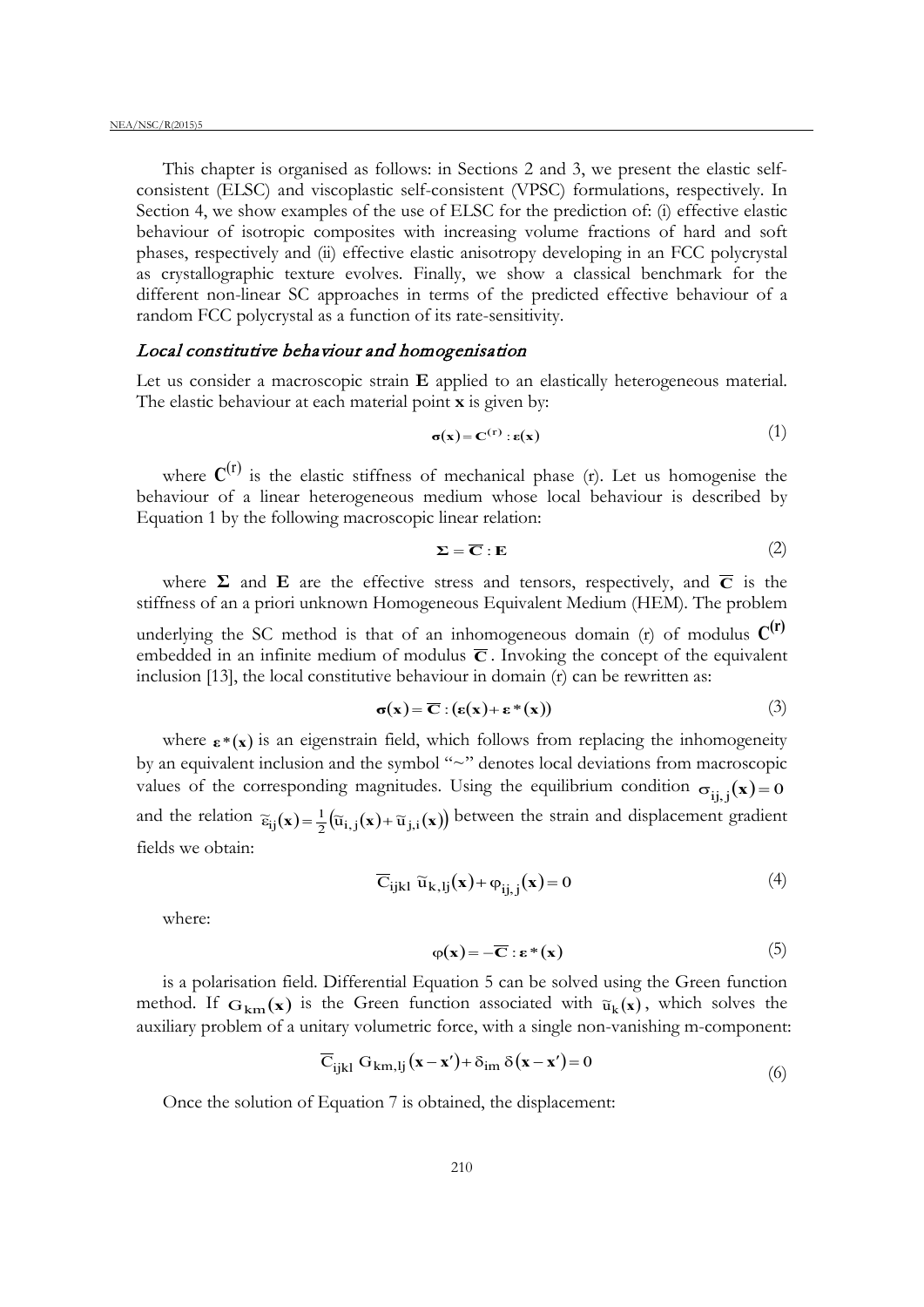This chapter is organised as follows: in Sections 2 and 3, we present the elastic selfconsistent (ELSC) and viscoplastic self-consistent (VPSC) formulations, respectively. In Section 4, we show examples of the use of ELSC for the prediction of: (i) effective elastic behaviour of isotropic composites with increasing volume fractions of hard and soft phases, respectively and (ii) effective elastic anisotropy developing in an FCC polycrystal as crystallographic texture evolves. Finally, we show a classical benchmark for the different non-linear SC approaches in terms of the predicted effective behaviour of a random FCC polycrystal as a function of its rate-sensitivity.

## Local constitutive behaviour and homogenisation

Let us consider a macroscopic strain **E** applied to an elastically heterogeneous material. The elastic behaviour at each material point **x** is given by:

$$
\sigma(\mathbf{x}) = \mathbf{C}^{(\mathbf{r})} : \mathbf{\varepsilon}(\mathbf{x})
$$
 (1)

where  $C^{(r)}$  is the elastic stiffness of mechanical phase (r). Let us homogenise the behaviour of a linear heterogeneous medium whose local behaviour is described by Equation 1 by the following macroscopic linear relation:

$$
\Sigma = \overline{C} : E
$$
 (2)

where  $\Sigma$  and  $\overline{E}$  are the effective stress and tensors, respectively, and  $\overline{C}$  is the stiffness of an a priori unknown Homogeneous Equivalent Medium (HEM). The problem

underlying the SC method is that of an inhomogeneous domain (r) of modulus  $C^{(r)}$ embedded in an infinite medium of modulus  $\overline{C}$ . Invoking the concept of the equivalent inclusion  $[13]$ , the local constitutive behaviour in domain  $(r)$  can be rewritten as:

$$
\sigma(\mathbf{x}) = \overline{\mathbf{C}} : (\varepsilon(\mathbf{x}) + \varepsilon^*(\mathbf{x})) \tag{3}
$$

where  $\epsilon^*(x)$  is an eigenstrain field, which follows from replacing the inhomogeneity by an equivalent inclusion and the symbol "~" denotes local deviations from macroscopic values of the corresponding magnitudes. Using the equilibrium condition  $\sigma_{ii, i}(x) = 0$ and the relation  $\tilde{\epsilon}_{ij}(\mathbf{x}) = \frac{1}{2} (\tilde{u}_{i,j}(\mathbf{x}) + \tilde{u}_{j,i}(\mathbf{x}))$  between the strain and displacement gradient fields we obtain:

$$
\overline{C}_{ijkl} \ \widetilde{u}_{k,lj}(\mathbf{x}) + \varphi_{ij,j}(\mathbf{x}) = 0 \tag{4}
$$

where:

$$
\varphi(\mathbf{x}) = -\overline{\mathbf{C}} : \mathbf{\varepsilon}^*(\mathbf{x})
$$
\n(5)

is a polarisation field. Differential Equation 5 can be solved using the Green function method. If  $G_{km}(\mathbf{x})$  is the Green function associated with  $\tilde{u}_k(\mathbf{x})$ , which solves the auxiliary problem of a unitary volumetric force, with a single non-vanishing m-component:

$$
\overline{C}_{ijkl} G_{km,lj}(\mathbf{x} - \mathbf{x}') + \delta_{im} \delta(\mathbf{x} - \mathbf{x}') = 0
$$
\n(6)

Once the solution of Equation 7 is obtained, the displacement: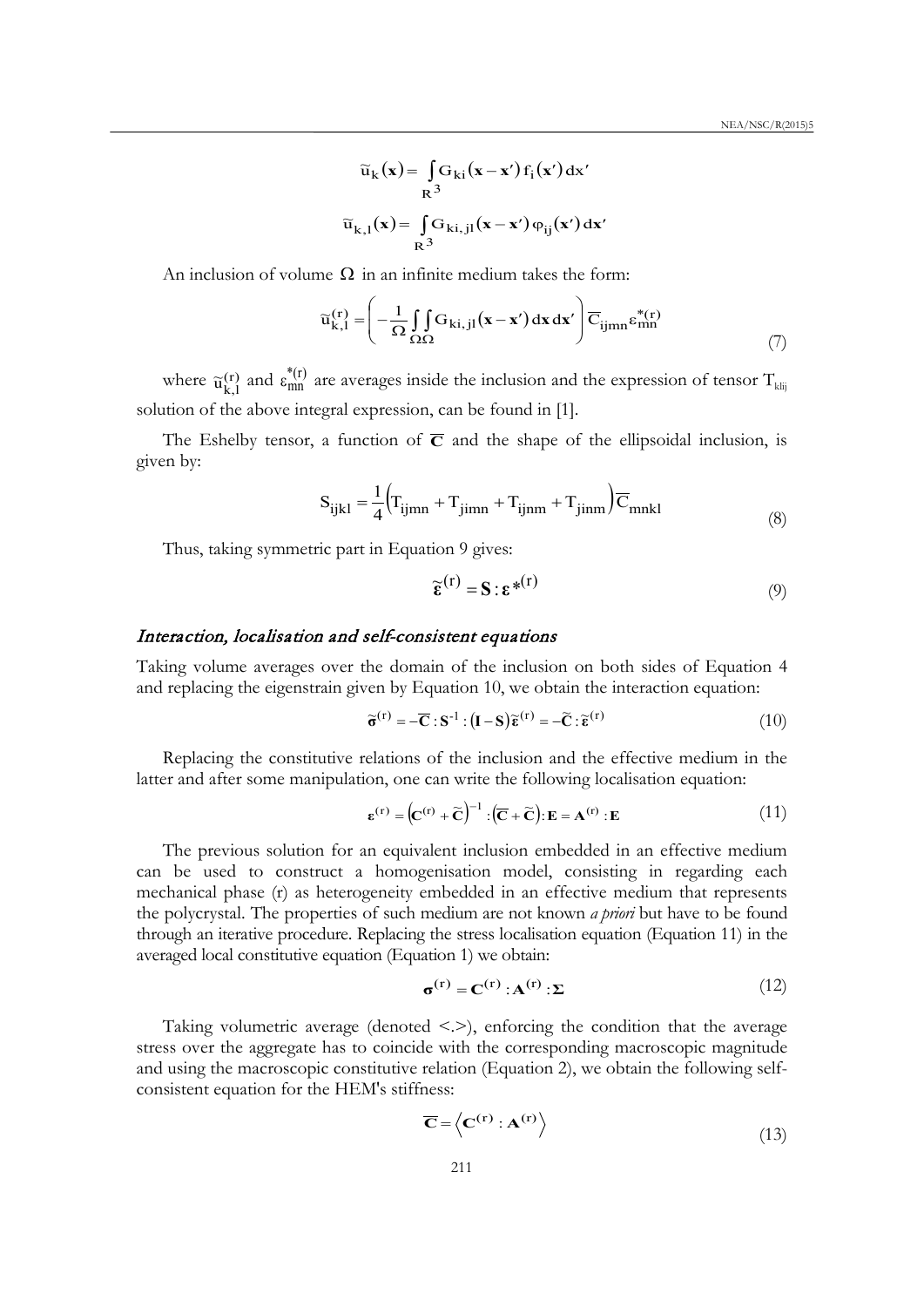$$
\widetilde{u}_k(\mathbf{x}) = \int_R G_{ki}(\mathbf{x} - \mathbf{x}') f_i(\mathbf{x}') d\mathbf{x}'
$$

$$
\widetilde{u}_{k,l}(\mathbf{x}) = \int_R G_{ki,jl}(\mathbf{x} - \mathbf{x}') \varphi_{ij}(\mathbf{x}') d\mathbf{x}'
$$

An inclusion of volume  $\Omega$  in an infinite medium takes the form:

$$
\widetilde{u}_{k,l}^{(r)} = \left(-\frac{1}{\Omega} \iint\limits_{\Omega\Omega} G_{ki,jl}(\mathbf{x} - \mathbf{x}') d\mathbf{x} d\mathbf{x}'\right) \overline{C}_{ijmn} \varepsilon_{mn}^{*(r)}
$$
(7)

where  $\tilde{u}_{k,l}^{(r)}$  and  $\tilde{\epsilon}_{mn}^{*(r)}$  are averages inside the inclusion and the expression of tensor  $T_{klij}$ solution of the above integral expression, can be found in [1].

The Eshelby tensor, a function of  $\overline{C}$  and the shape of the ellipsoidal inclusion, is given by:

$$
S_{ijkl} = \frac{1}{4} \left( T_{ijmn} + T_{jimn} + T_{ijnm} + T_{jimm} \right) \overline{C}_{mnkl}
$$
\n(8)

Thus, taking symmetric part in Equation 9 gives:

$$
\widetilde{\boldsymbol{\epsilon}}^{(r)} = \mathbf{S} : \boldsymbol{\epsilon}^{*(r)} \tag{9}
$$

## Interaction, localisation and self-consistent equations

Taking volume averages over the domain of the inclusion on both sides of Equation 4 and replacing the eigenstrain given by Equation 10, we obtain the interaction equation:

$$
\widetilde{\sigma}^{(r)} = -\overline{C} : S^{-1} : (I - S)\widetilde{\epsilon}^{(r)} = -\widetilde{C} : \widetilde{\epsilon}^{(r)}
$$
(10)

Replacing the constitutive relations of the inclusion and the effective medium in the latter and after some manipulation, one can write the following localisation equation:

$$
\boldsymbol{\epsilon}^{(r)} = \left(\mathbf{C}^{(r)} + \widetilde{\mathbf{C}}\right)^{-1} : \left(\overline{\mathbf{C}} + \widetilde{\mathbf{C}}\right) : \mathbf{E} = \mathbf{A}^{(r)} : \mathbf{E} \tag{11}
$$

The previous solution for an equivalent inclusion embedded in an effective medium can be used to construct a homogenisation model, consisting in regarding each mechanical phase (r) as heterogeneity embedded in an effective medium that represents the polycrystal. The properties of such medium are not known *a priori* but have to be found through an iterative procedure. Replacing the stress localisation equation (Equation 11) in the averaged local constitutive equation (Equation 1) we obtain:

$$
\boldsymbol{\sigma}^{(r)} = \mathbf{C}^{(r)} : \mathbf{A}^{(r)} : \boldsymbol{\Sigma}
$$
 (12)

Taking volumetric average (denoted  $\le$   $\ge$ ), enforcing the condition that the average stress over the aggregate has to coincide with the corresponding macroscopic magnitude and using the macroscopic constitutive relation (Equation 2), we obtain the following selfconsistent equation for the HEM's stiffness:

$$
\overline{\mathbf{C}} = \left\langle \mathbf{C}^{(\mathbf{r})} : \mathbf{A}^{(\mathbf{r})} \right\rangle \tag{13}
$$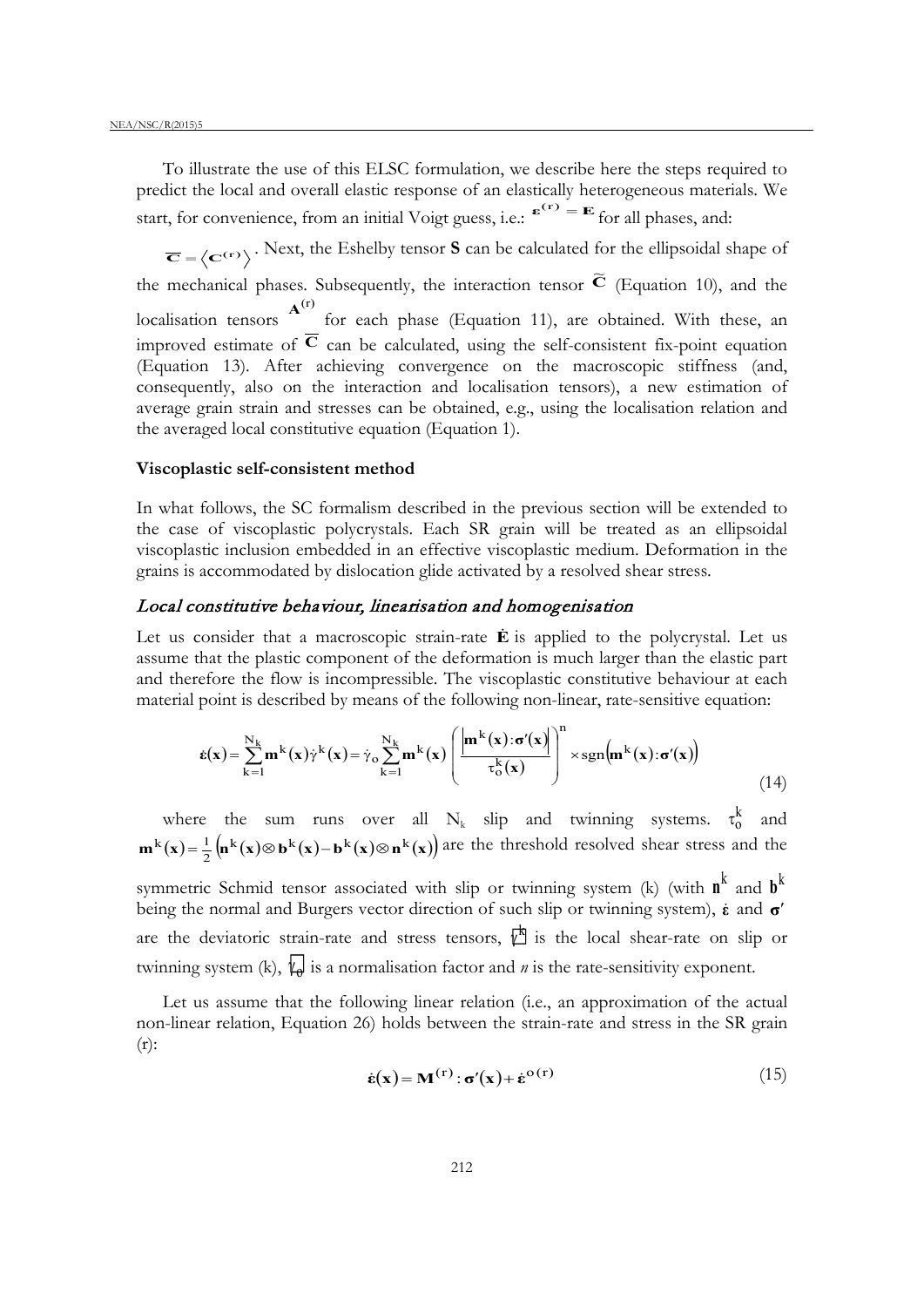To illustrate the use of this ELSC formulation, we describe here the steps required to predict the local and overall elastic response of an elastically heterogeneous materials. We start, for convenience, from an initial Voigt guess, i.e.:  $e^{(r)} = E$  for all phases, and:

 $\overline{\mathbf{C}} = \langle \mathbf{C}^{(r)} \rangle$ . Next, the Eshelby tensor **S** can be calculated for the ellipsoidal shape of the mechanical phases. Subsequently, the interaction tensor  $\tilde{\mathbf{c}}$  (Equation 10), and the localisation tensors  $A^{(r)}$  for each phase (Equation 11), are obtained. With these, an improved estimate of  $\overline{C}$  can be calculated, using the self-consistent fix-point equation (Equation 13). After achieving convergence on the macroscopic stiffness (and, consequently, also on the interaction and localisation tensors), a new estimation of average grain strain and stresses can be obtained, e.g., using the localisation relation and the averaged local constitutive equation (Equation 1).

### **Viscoplastic self-consistent method**

In what follows, the SC formalism described in the previous section will be extended to the case of viscoplastic polycrystals. Each SR grain will be treated as an ellipsoidal viscoplastic inclusion embedded in an effective viscoplastic medium. Deformation in the grains is accommodated by dislocation glide activated by a resolved shear stress.

### Local constitutive behaviour, linearisation and homogenisation

Let us consider that a macroscopic strain-rate **E** is applied to the polycrystal. Let us assume that the plastic component of the deformation is much larger than the elastic part and therefore the flow is incompressible. The viscoplastic constitutive behaviour at each material point is described by means of the following non-linear, rate-sensitive equation:

$$
\dot{\mathbf{\varepsilon}}(\mathbf{x}) = \sum_{k=1}^{N_k} \mathbf{m}^k(\mathbf{x}) \dot{\gamma}^k(\mathbf{x}) = \dot{\gamma}_o \sum_{k=1}^{N_k} \mathbf{m}^k(\mathbf{x}) \left( \frac{\left| \mathbf{m}^k(\mathbf{x}) : \sigma'(\mathbf{x}) \right|}{\tau_o^k(\mathbf{x})} \right)^n \times \text{sgn} \left( \mathbf{m}^k(\mathbf{x}) : \sigma'(\mathbf{x}) \right) \tag{14}
$$

where the sum runs over all  $N_k$  slip and twinning systems.  $\tau_0^k$  and  $\mathbf{m}^k(\mathbf{x}) = \frac{1}{2} (\mathbf{n}^k(\mathbf{x}) \otimes \mathbf{b}^k(\mathbf{x}) - \mathbf{b}^k(\mathbf{x}) \otimes \mathbf{n}^k(\mathbf{x}))$  are the threshold resolved shear stress and the

symmetric Schmid tensor associated with slip or twinning system (k) (with  $n^k$  and  $b^k$ being the normal and Burgers vector direction of such slip or twinning system), **ε** and **σ**′ are the deviatoric strain-rate and stress tensors,  $\overline{K}$  is the local shear-rate on slip or twinning system (k),  $\mathcal{L}_{\theta}$  is a normalisation factor and *n* is the rate-sensitivity exponent.

Let us assume that the following linear relation (i.e., an approximation of the actual non-linear relation, Equation 26) holds between the strain-rate and stress in the SR grain  $(r)$ :

$$
\dot{\mathbf{\varepsilon}}(\mathbf{x}) = \mathbf{M}^{(\mathrm{r})} : \mathbf{\sigma}'(\mathbf{x}) + \dot{\mathbf{\varepsilon}}^{o(\mathrm{r})}
$$
(15)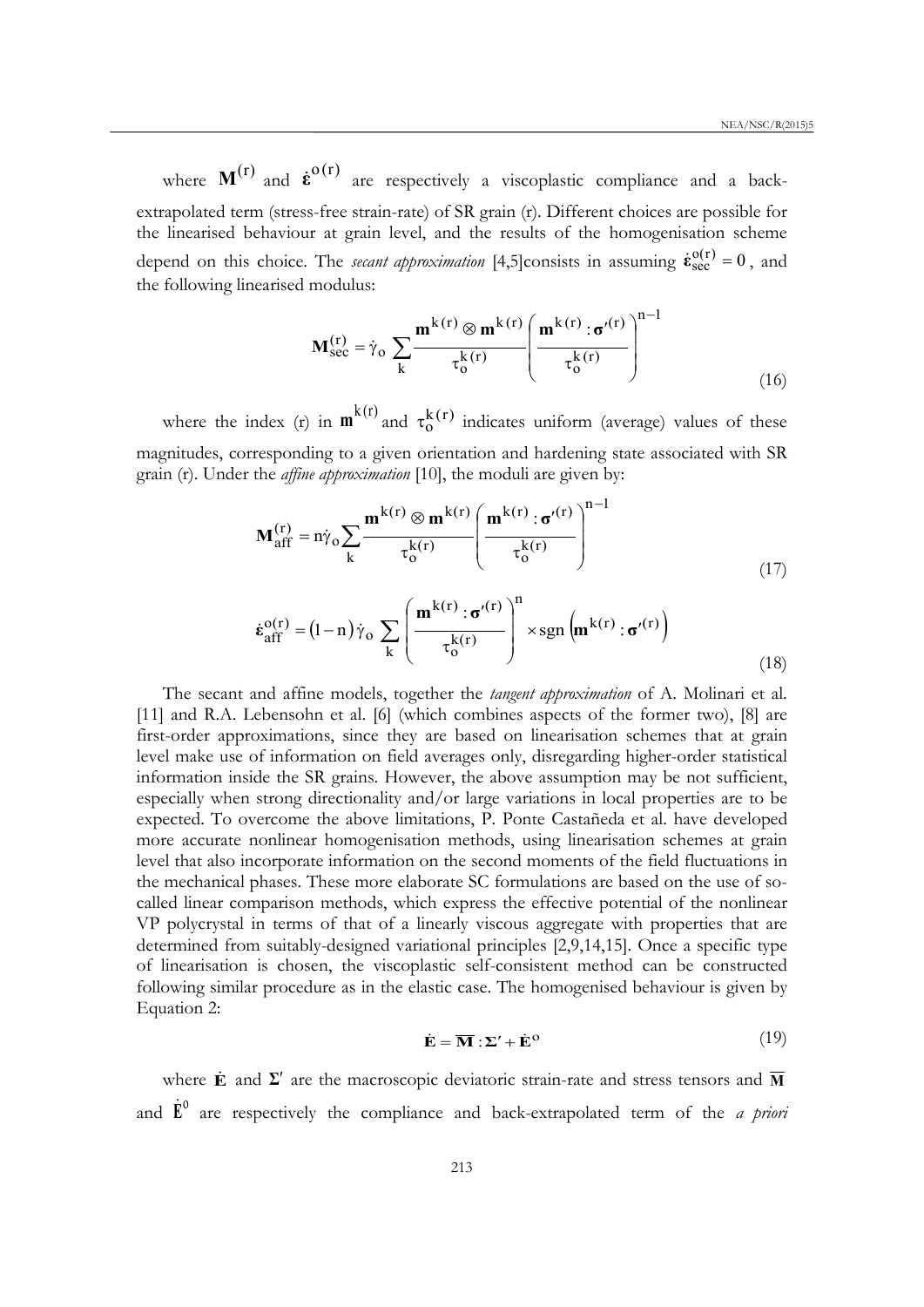where  $M^{(r)}$  and  $\dot{\epsilon}^{o(r)}$  are respectively a viscoplastic compliance and a backextrapolated term (stress-free strain-rate) of SR grain (r). Different choices are possible for the linearised behaviour at grain level, and the results of the homogenisation scheme depend on this choice. The *secant approximation* [4,5]consists in assuming  $\dot{\epsilon}_{\text{sec}}^{o(r)} = 0$ , and the following linearised modulus:

$$
\mathbf{M}_{\text{sec}}^{(r)} = \dot{\gamma}_o \sum_{k} \frac{\mathbf{m}^{k(r)} \otimes \mathbf{m}^{k(r)}}{\tau_o^{k(r)}} \left( \frac{\mathbf{m}^{k(r)} : \sigma'^{(r)}}{\tau_o^{k(r)}} \right)^{n-1} \tag{16}
$$

where the index (r) in  $\mathbf{m}^{k(r)}$  and  $\tau_0^{k(r)}$  indicates uniform (average) values of these magnitudes, corresponding to a given orientation and hardening state associated with SR grain (r). Under the *affine approximation* [10], the moduli are given by:

$$
\mathbf{M}_{\text{aff}}^{(r)} = \mathbf{n}\dot{\gamma}_{\text{o}} \sum_{\mathbf{k}} \frac{\mathbf{m}^{\mathbf{k}(r)} \otimes \mathbf{m}^{\mathbf{k}(r)}}{\tau_{\text{o}}^{\mathbf{k}(r)}} \left(\frac{\mathbf{m}^{\mathbf{k}(r)} : \mathbf{\sigma}'^{(r)}}{\tau_{\text{o}}^{\mathbf{k}(r)}}\right)^{n-1} \tag{17}
$$

$$
\dot{\boldsymbol{\varepsilon}}_{aff}^{o(r)} = (1-n)\dot{\gamma}_o \sum_{k} \left( \frac{\mathbf{m}^{k(r)} : \boldsymbol{\sigma}'^{(r)}}{\tau_o^{k(r)}} \right)^n \times \operatorname{sgn} \left( \mathbf{m}^{k(r)} : \boldsymbol{\sigma}'^{(r)} \right)
$$
(18)

The secant and affine models, together the *tangent approximation* of A. Molinari et al. [11] and R.A. Lebensohn et al. [6] (which combines aspects of the former two), [8] are first-order approximations, since they are based on linearisation schemes that at grain level make use of information on field averages only, disregarding higher-order statistical information inside the SR grains. However, the above assumption may be not sufficient, especially when strong directionality and/or large variations in local properties are to be expected. To overcome the above limitations, P. Ponte Castañeda et al. have developed more accurate nonlinear homogenisation methods, using linearisation schemes at grain level that also incorporate information on the second moments of the field fluctuations in the mechanical phases. These more elaborate SC formulations are based on the use of socalled linear comparison methods, which express the effective potential of the nonlinear VP polycrystal in terms of that of a linearly viscous aggregate with properties that are determined from suitably-designed variational principles [2,9,14,15]. Once a specific type of linearisation is chosen, the viscoplastic self-consistent method can be constructed following similar procedure as in the elastic case. The homogenised behaviour is given by Equation 2:

$$
\dot{\mathbf{E}} = \overline{\mathbf{M}} : \Sigma' + \dot{\mathbf{E}}^{\text{o}} \tag{19}
$$

where **E** and  $\Sigma'$  are the macroscopic deviatoric strain-rate and stress tensors and  $\overline{M}$ and  $\dot{\mathbf{E}}^0$  are respectively the compliance and back-extrapolated term of the *a priori*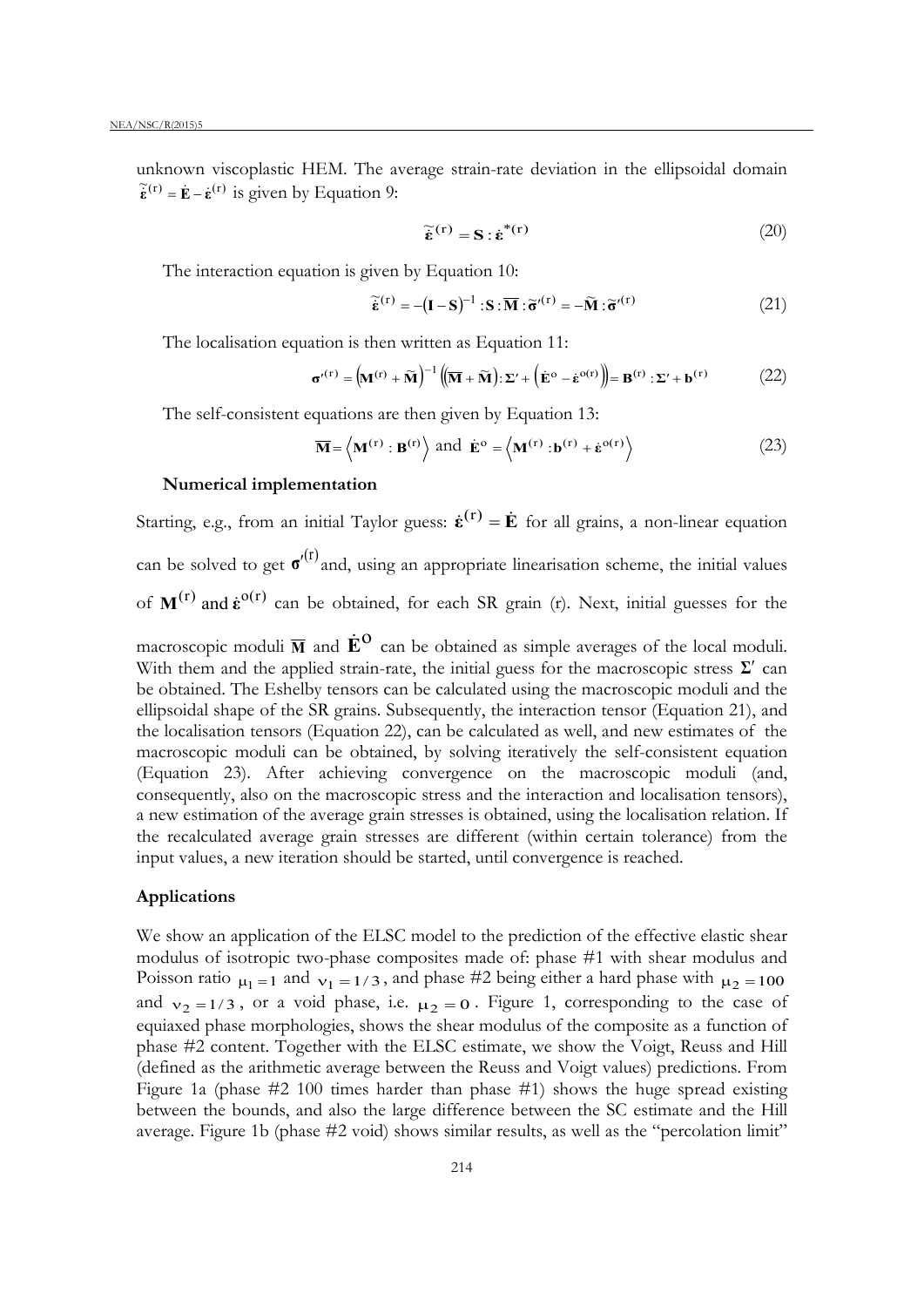unknown viscoplastic HEM. The average strain-rate deviation in the ellipsoidal domain  $\tilde{\epsilon}^{(r)} = \dot{\mathbf{E}} - \dot{\epsilon}^{(r)}$  is given by Equation 9:

$$
\widetilde{\dot{\mathbf{\varepsilon}}}^{(\mathbf{r})} = \mathbf{S} : \dot{\mathbf{\varepsilon}}^{*(\mathbf{r})} \tag{20}
$$

The interaction equation is given by Equation 10:

$$
\widetilde{\mathbf{\varepsilon}}^{(r)} = -(\mathbf{I} - \mathbf{S})^{-1} \cdot \mathbf{S} \cdot \overline{\mathbf{M}} \cdot \widetilde{\mathbf{\sigma}}'^{(r)} = -\widetilde{\mathbf{M}} \cdot \widetilde{\mathbf{\sigma}}'^{(r)}
$$
(21)

The localisation equation is then written as Equation 11:

$$
\boldsymbol{\sigma}^{\prime(r)} = (\mathbf{M}^{(r)} + \widetilde{\mathbf{M}})^{-1} ((\overline{\mathbf{M}} + \widetilde{\mathbf{M}}): \Sigma' + (\dot{\mathbf{E}}^{\mathrm{o}} - \dot{\boldsymbol{\epsilon}}^{\mathrm{o}(r)}) = \mathbf{B}^{(r)}: \Sigma' + \mathbf{b}^{(r)}
$$
(22)

The self-consistent equations are then given by Equation 13:

$$
\overline{\mathbf{M}} = \left\langle \mathbf{M}^{(r)} : \mathbf{B}^{(r)} \right\rangle \text{ and } \dot{\mathbf{E}}^{\text{o}} = \left\langle \mathbf{M}^{(r)} : \mathbf{b}^{(r)} + \dot{\mathbf{\varepsilon}}^{o(r)} \right\rangle \tag{23}
$$

# **Numerical implementation**

Starting, e.g., from an initial Taylor guess:  $\dot{\boldsymbol{\varepsilon}}^{(r)} = \dot{\boldsymbol{E}}$  for all grains, a non-linear equation can be solved to get  $\sigma^{\prime (r)}$  and, using an appropriate linearisation scheme, the initial values of  $M^{(r)}$  and  $\dot{\epsilon}^{o(r)}$  can be obtained, for each SR grain (r). Next, initial guesses for the

macroscopic moduli  $\overline{M}$  and  $\dot{\mathbf{E}}^{\Omega}$  can be obtained as simple averages of the local moduli. With them and the applied strain-rate, the initial guess for the macroscopic stress **Σ**′ can be obtained. The Eshelby tensors can be calculated using the macroscopic moduli and the ellipsoidal shape of the SR grains. Subsequently, the interaction tensor (Equation 21), and the localisation tensors (Equation 22), can be calculated as well, and new estimates of the macroscopic moduli can be obtained, by solving iteratively the self-consistent equation (Equation 23). After achieving convergence on the macroscopic moduli (and, consequently, also on the macroscopic stress and the interaction and localisation tensors), a new estimation of the average grain stresses is obtained, using the localisation relation. If the recalculated average grain stresses are different (within certain tolerance) from the input values, a new iteration should be started, until convergence is reached.

### **Applications**

We show an application of the ELSC model to the prediction of the effective elastic shear modulus of isotropic two-phase composites made of: phase #1 with shear modulus and Poisson ratio  $\mu_1 = 1$  and  $v_1 = 1/3$ , and phase #2 being either a hard phase with  $\mu_2 = 100$ and  $v_2 = 1/3$ , or a void phase, i.e.  $\mu_2 = 0$ . Figure 1, corresponding to the case of equiaxed phase morphologies, shows the shear modulus of the composite as a function of phase #2 content. Together with the ELSC estimate, we show the Voigt, Reuss and Hill (defined as the arithmetic average between the Reuss and Voigt values) predictions. From Figure 1a (phase #2 100 times harder than phase #1) shows the huge spread existing between the bounds, and also the large difference between the SC estimate and the Hill average. Figure 1b (phase #2 void) shows similar results, as well as the "percolation limit"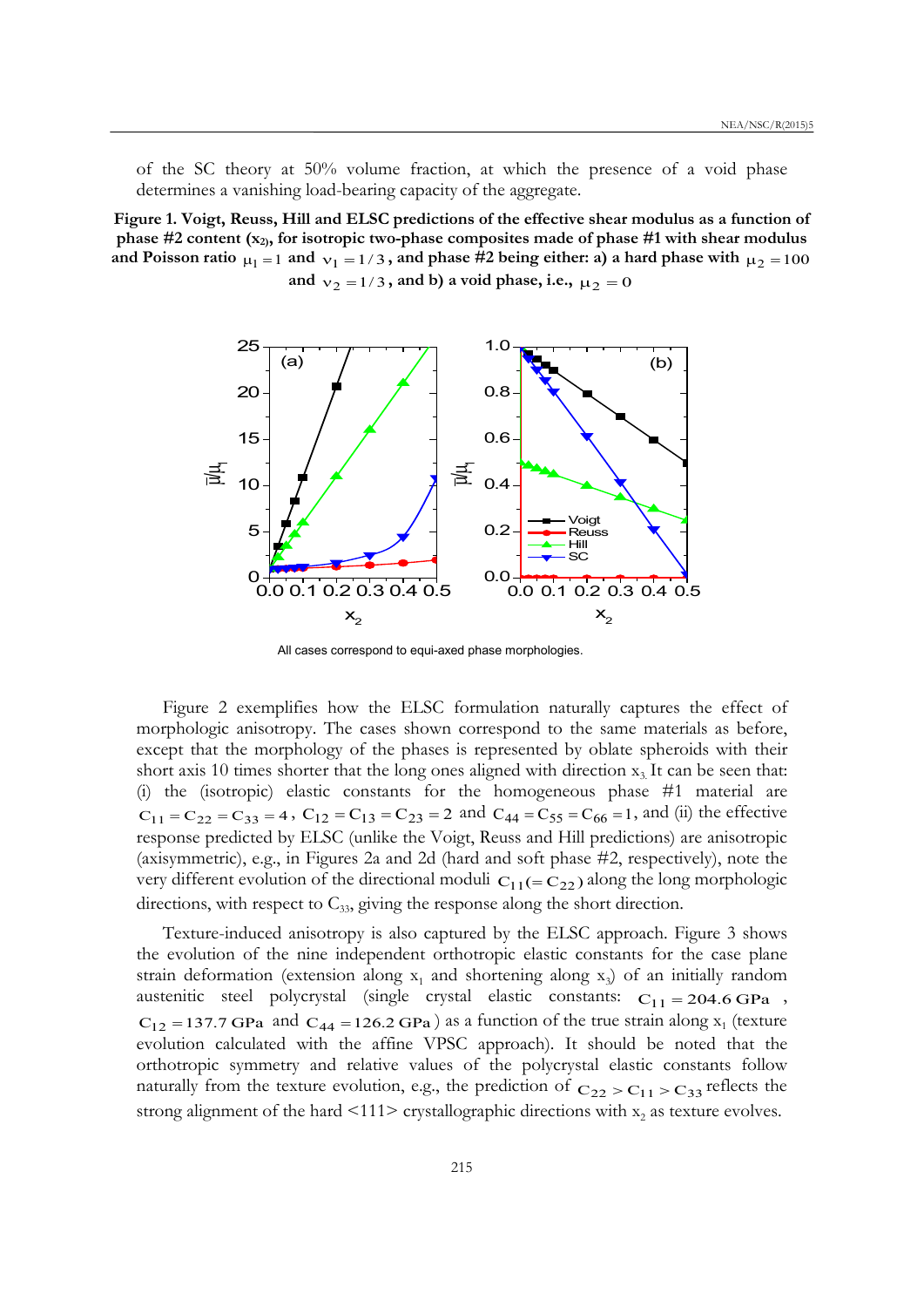of the SC theory at 50% volume fraction, at which the presence of a void phase determines a vanishing load-bearing capacity of the aggregate.

**Figure 1. Voigt, Reuss, Hill and ELSC predictions of the effective shear modulus as a function of phase #2 content (x2), for isotropic two-phase composites made of phase #1 with shear modulus**  and Poisson ratio  $\mu_1 = 1$  and  $\nu_1 = 1/3$ , and phase #2 being either: a) a hard phase with  $\mu_2 = 100$ and  $v_2 = 1/3$ , and b) a void phase, i.e.,  $\mu_2 = 0$ 



All cases correspond to equi-axed phase morphologies.

Figure 2 exemplifies how the ELSC formulation naturally captures the effect of morphologic anisotropy. The cases shown correspond to the same materials as before, except that the morphology of the phases is represented by oblate spheroids with their short axis 10 times shorter that the long ones aligned with direction  $x_3$ . It can be seen that: (i) the (isotropic) elastic constants for the homogeneous phase #1 material are  $C_{11} = C_{22} = C_{33} = 4$ ,  $C_{12} = C_{13} = C_{23} = 2$  and  $C_{44} = C_{55} = C_{66} = 1$ , and (ii) the effective response predicted by ELSC (unlike the Voigt, Reuss and Hill predictions) are anisotropic (axisymmetric), e.g., in Figures 2a and 2d (hard and soft phase #2, respectively), note the very different evolution of the directional moduli  $C_{11} (= C_{22})$  along the long morphologic directions, with respect to  $C_{33}$ , giving the response along the short direction.

Texture-induced anisotropy is also captured by the ELSC approach. Figure 3 shows the evolution of the nine independent orthotropic elastic constants for the case plane strain deformation (extension along  $x_1$  and shortening along  $x_3$ ) of an initially random austenitic steel polycrystal (single crystal elastic constants:  $C_{11} = 204.6 \text{ GPa}$ ,  $C_{12} = 137.7$  GPa and  $C_{44} = 126.2$  GPa) as a function of the true strain along  $x_1$  (texture evolution calculated with the affine VPSC approach). It should be noted that the orthotropic symmetry and relative values of the polycrystal elastic constants follow naturally from the texture evolution, e.g., the prediction of  $C_{22} > C_{11} > C_{33}$  reflects the strong alignment of the hard  $\langle 111 \rangle$  crystallographic directions with  $x_2$  as texture evolves.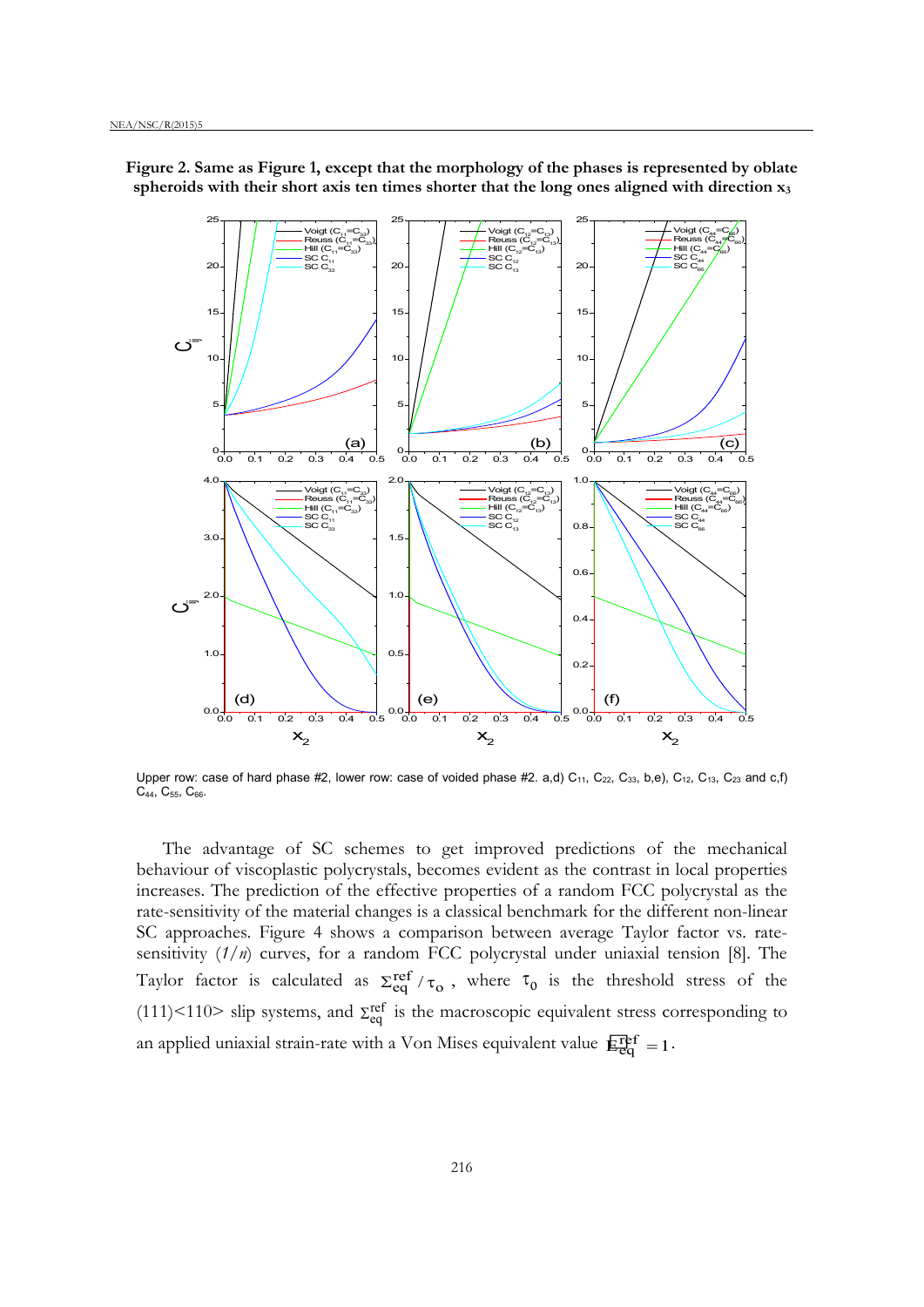

**Figure 2. Same as Figure 1, except that the morphology of the phases is represented by oblate spheroids with their short axis ten times shorter that the long ones aligned with direction x3**

Upper row: case of hard phase #2, lower row: case of voided phase #2. a,d)  $C_{11}$ ,  $C_{22}$ ,  $C_{33}$ , b,e),  $C_{12}$ ,  $C_{13}$ ,  $C_{23}$  and c,f) C<sub>44</sub>, C<sub>55</sub>, C<sub>66</sub>.

The advantage of SC schemes to get improved predictions of the mechanical behaviour of viscoplastic polycrystals, becomes evident as the contrast in local properties increases. The prediction of the effective properties of a random FCC polycrystal as the rate-sensitivity of the material changes is a classical benchmark for the different non-linear SC approaches. Figure 4 shows a comparison between average Taylor factor vs. ratesensitivity (*1/n*) curves, for a random FCC polycrystal under uniaxial tension [8]. The Taylor factor is calculated as  $\Sigma_{eq}^{ref}/\tau_o$ , where  $\tau_o$  is the threshold stress of the (111)<110> slip systems, and  $\Sigma_{eq}^{ref}$  is the macroscopic equivalent stress corresponding to an applied uniaxial strain-rate with a Von Mises equivalent value  $E_{eq}^{ref} = 1$ .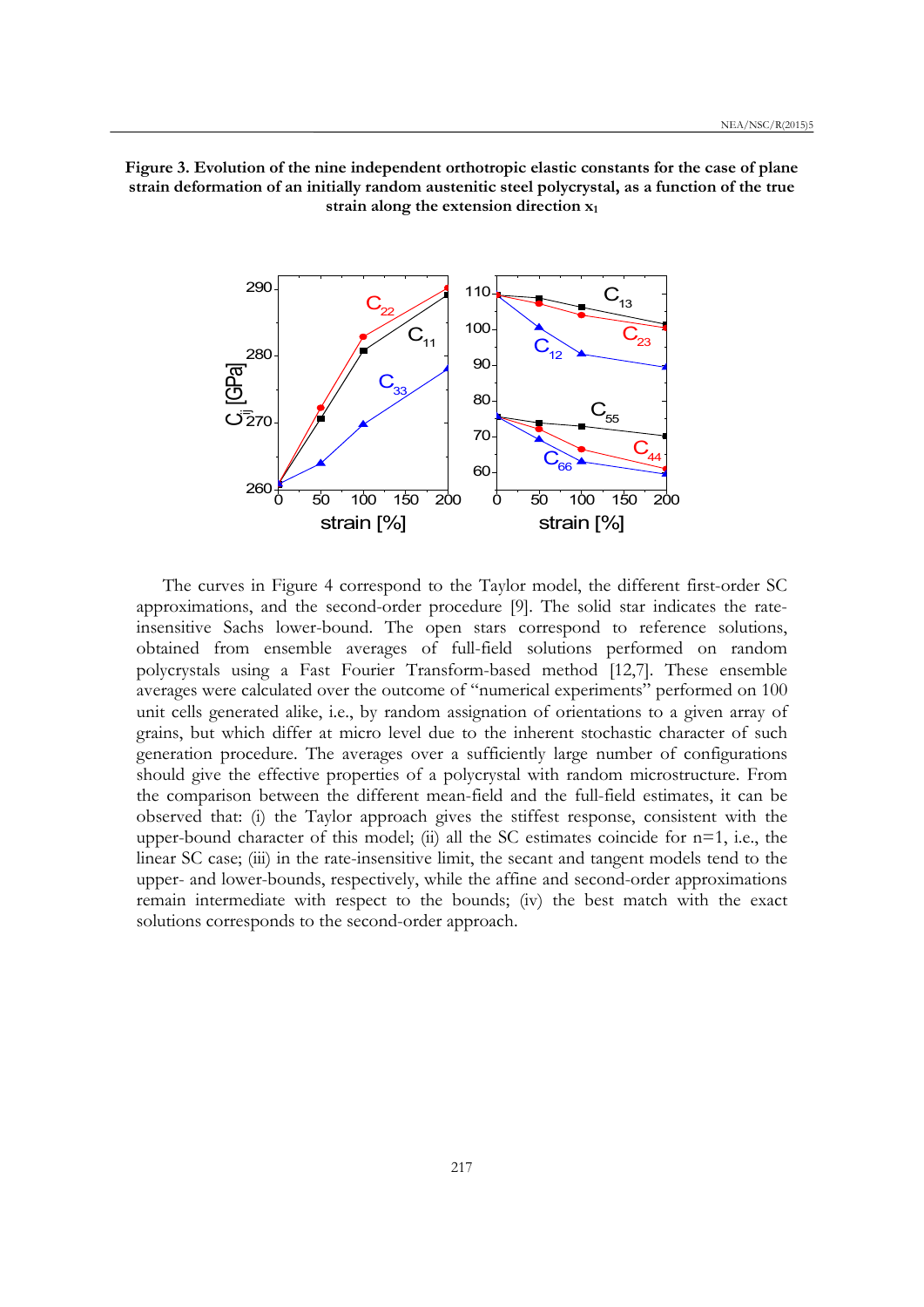



The curves in Figure 4 correspond to the Taylor model, the different first-order SC approximations, and the second-order procedure [9]. The solid star indicates the rateinsensitive Sachs lower-bound. The open stars correspond to reference solutions, obtained from ensemble averages of full-field solutions performed on random polycrystals using a Fast Fourier Transform-based method [12,7]. These ensemble averages were calculated over the outcome of "numerical experiments" performed on 100 unit cells generated alike, i.e., by random assignation of orientations to a given array of grains, but which differ at micro level due to the inherent stochastic character of such generation procedure. The averages over a sufficiently large number of configurations should give the effective properties of a polycrystal with random microstructure. From the comparison between the different mean-field and the full-field estimates, it can be observed that: (i) the Taylor approach gives the stiffest response, consistent with the upper-bound character of this model; (ii) all the SC estimates coincide for  $n=1$ , i.e., the linear SC case; (iii) in the rate-insensitive limit, the secant and tangent models tend to the upper- and lower-bounds, respectively, while the affine and second-order approximations remain intermediate with respect to the bounds; (iv) the best match with the exact solutions corresponds to the second-order approach.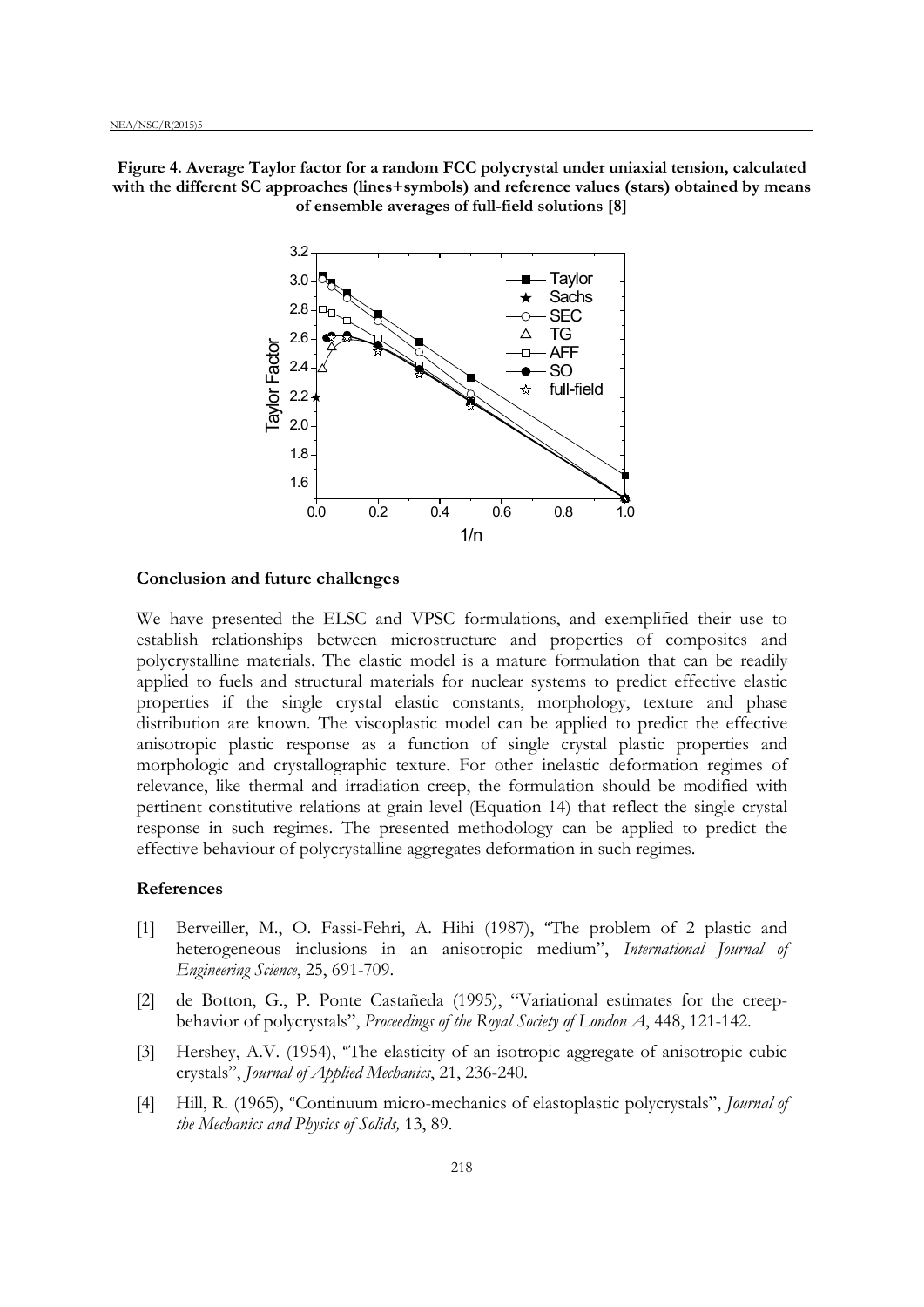**Figure 4. Average Taylor factor for a random FCC polycrystal under uniaxial tension, calculated with the different SC approaches (lines+symbols) and reference values (stars) obtained by means of ensemble averages of full-field solutions [8]**



### **Conclusion and future challenges**

We have presented the ELSC and VPSC formulations, and exemplified their use to establish relationships between microstructure and properties of composites and polycrystalline materials. The elastic model is a mature formulation that can be readily applied to fuels and structural materials for nuclear systems to predict effective elastic properties if the single crystal elastic constants, morphology, texture and phase distribution are known. The viscoplastic model can be applied to predict the effective anisotropic plastic response as a function of single crystal plastic properties and morphologic and crystallographic texture. For other inelastic deformation regimes of relevance, like thermal and irradiation creep, the formulation should be modified with pertinent constitutive relations at grain level (Equation 14) that reflect the single crystal response in such regimes. The presented methodology can be applied to predict the effective behaviour of polycrystalline aggregates deformation in such regimes.

### **References**

- [1] Berveiller, M., O. Fassi-Fehri, A. Hihi (1987), "[The problem of 2 plastic and](https://oppie.lanl.gov/oppie/?url_ver=Z39.88-2004&rft_id=info:lanl-repo/oppie&svc_val_fmt=http://oppie.lanl.gov/openurl/oppie.html&svc_id=info:lanl-repo/svc/oppie/full-rec&svc.oparam1=info:lanl-repo/isi/A1987J433700006&svc.oparam2=info:lanl-repo/svc/getDIDL)  [heterogeneous inclusions in an anisotropic medium"](https://oppie.lanl.gov/oppie/?url_ver=Z39.88-2004&rft_id=info:lanl-repo/oppie&svc_val_fmt=http://oppie.lanl.gov/openurl/oppie.html&svc_id=info:lanl-repo/svc/oppie/full-rec&svc.oparam1=info:lanl-repo/isi/A1987J433700006&svc.oparam2=info:lanl-repo/svc/getDIDL), *International Journal of Engineering Science*, 25, 691-709.
- [2] de Botton, G., P. Ponte Castañeda (1995), "Variational estimates for the creepbehavior of polycrystals", *Proceedings of the Royal Society of London A*, 448, 121-142.
- [3] Hershey, A.V. (1954), "The elasticity of an isotropic aggregate of anisotropic cubic [crystals"](https://oppie.lanl.gov/oppie/?url_ver=Z39.88-2004&rft_id=info:lanl-repo/oppie&svc_val_fmt=http://oppie.lanl.gov/openurl/oppie.html&svc_id=info:lanl-repo/svc/oppie/full-rec&svc.oparam1=info:lanl-repo/isi/A1954UX96700004&svc.oparam2=info:lanl-repo/svc/getDIDL), *Journal of Applied Mechanics*, 21, 236-240.
- [4] Hill, R. (1965), "[Continuum micro-mechanics of elastoplastic polycrystals"](https://oppie.lanl.gov/oppie/?url_ver=Z39.88-2004&rft_id=info:lanl-repo/oppie&svc_val_fmt=http://oppie.lanl.gov/openurl/oppie.html&svc_id=info:lanl-repo/svc/oppie/full-rec&svc.oparam1=info:lanl-repo/inspec/1965A20175&svc.oparam2=info:lanl-repo/svc/getDIDL), *Journal of the Mechanics and Physics of Solids,* 13, 89.